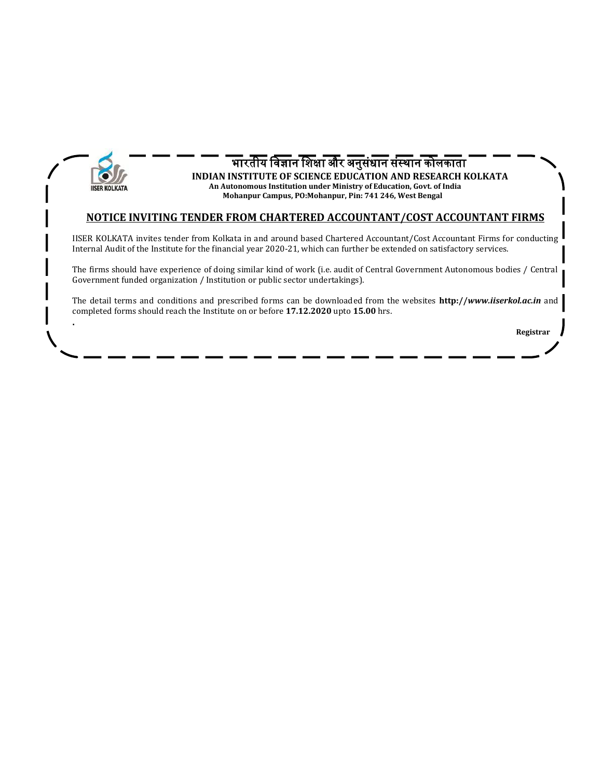

**.**

#### भारतीय विज्ञान विक्षा और अनुसंधान संस्थान कोलकाता **INDIAN INSTITUTE OF SCIENCE EDUCATION AND RESEARCH KOLKATA An Autonomous Institution under Ministry of Education, Govt. of India Mohanpur Campus, PO:Mohanpur, Pin: 741 246, West Bengal**

#### **NOTICE INVITING TENDER FROM CHARTERED ACCOUNTANT/COST ACCOUNTANT FIRMS**

IISER KOLKATA invites tender from Kolkata in and around based Chartered Accountant/Cost Accountant Firms for conducting Internal Audit of the Institute for the financial year 2020-21, which can further be extended on satisfactory services.

The firms should have experience of doing similar kind of work (i.e. audit of Central Government Autonomous bodies / Central Government funded organization / Institution or public sector undertakings).

The detail terms and conditions and prescribed forms can be downloaded from the websites **http://***[www.iiserkol.ac.in](http://www.iiserkol.ac.in/)* and completed forms should reach the Institute on or before **17.12.2020** upto **15.00** hrs.

 **Registrar**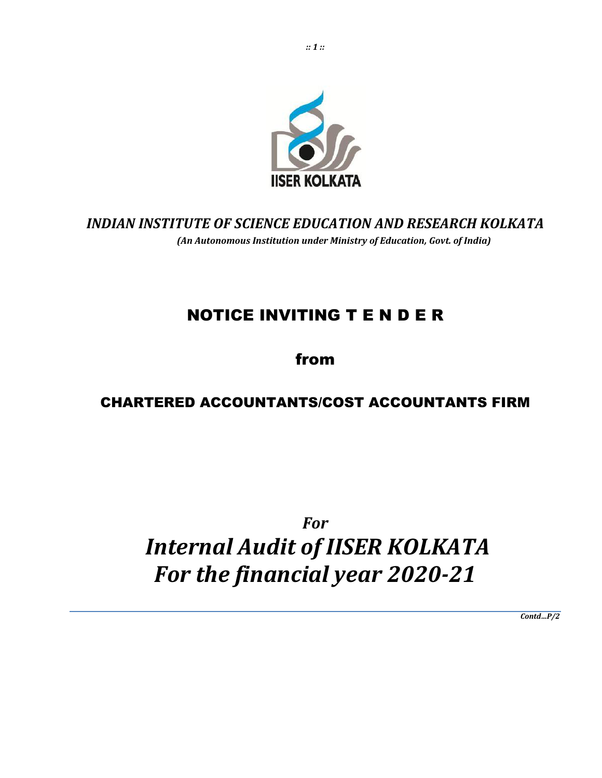

# *INDIAN INSTITUTE OF SCIENCE EDUCATION AND RESEARCH KOLKATA (An Autonomous Institution under Ministry of Education, Govt. of India)*

# NOTICE INVITING T E N D E R

# from

# CHARTERED ACCOUNTANTS/COST ACCOUNTANTS FIRM

# *For Internal Audit of IISER KOLKATA For the financial year 2020-21*

*Contd…P/2*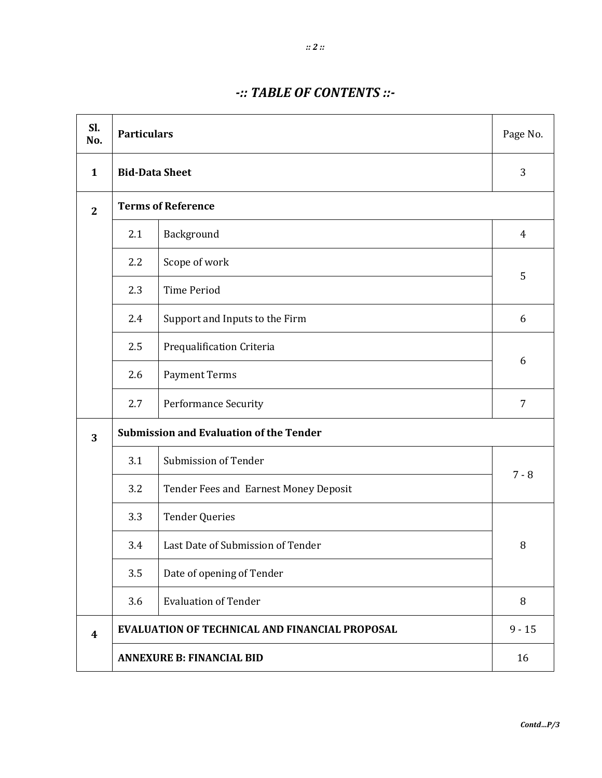# *-:: TABLE OF CONTENTS ::-*

| Sl.<br>No.   |                                          | <b>Particulars</b>                                    |                |  |
|--------------|------------------------------------------|-------------------------------------------------------|----------------|--|
| 1            | <b>Bid-Data Sheet</b>                    |                                                       | 3              |  |
| $\mathbf{2}$ |                                          | <b>Terms of Reference</b>                             |                |  |
|              | 2.1                                      | Background                                            | $\overline{4}$ |  |
|              | Scope of work<br>2.2                     |                                                       |                |  |
|              | 2.3                                      | <b>Time Period</b>                                    | 5              |  |
|              | 2.4                                      | Support and Inputs to the Firm                        | 6              |  |
|              | 2.5<br>Prequalification Criteria         |                                                       | 6              |  |
|              | 2.6                                      | <b>Payment Terms</b>                                  |                |  |
|              | 2.7                                      | Performance Security                                  | $\overline{7}$ |  |
| 3            |                                          | <b>Submission and Evaluation of the Tender</b>        |                |  |
|              | 3.1                                      | Submission of Tender                                  |                |  |
|              | 3.2                                      | Tender Fees and Earnest Money Deposit                 | $7 - 8$        |  |
|              | 3.3                                      | <b>Tender Queries</b>                                 |                |  |
|              | 3.4<br>Last Date of Submission of Tender |                                                       | 8              |  |
|              | Date of opening of Tender<br>3.5         |                                                       |                |  |
|              | 3.6                                      | <b>Evaluation of Tender</b>                           | 8              |  |
| 4            |                                          | <b>EVALUATION OF TECHNICAL AND FINANCIAL PROPOSAL</b> | $9 - 15$       |  |
|              | <b>ANNEXURE B: FINANCIAL BID</b>         |                                                       |                |  |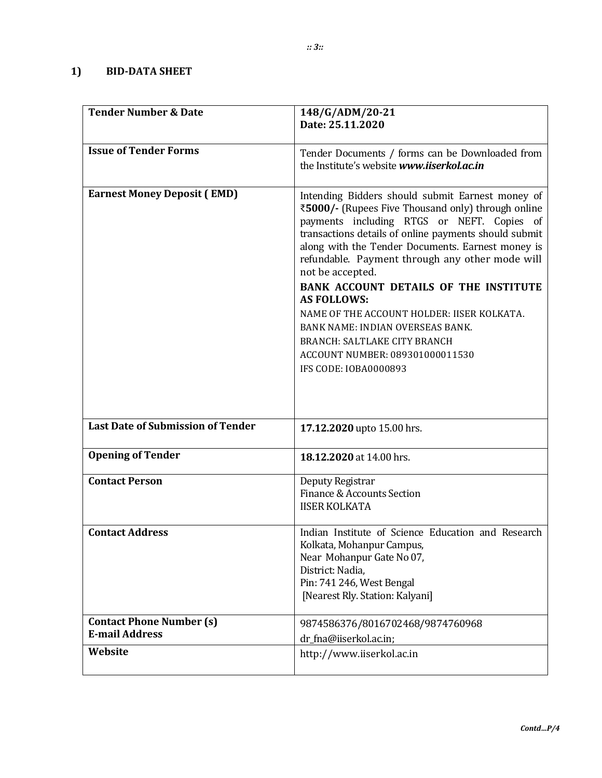# **1) BID-DATA SHEET**

| <b>Tender Number &amp; Date</b>                          | 148/G/ADM/20-21<br>Date: 25.11.2020                                                                                                                                                                                                                                                                                                                                                                                                                                                                                                                                                                         |
|----------------------------------------------------------|-------------------------------------------------------------------------------------------------------------------------------------------------------------------------------------------------------------------------------------------------------------------------------------------------------------------------------------------------------------------------------------------------------------------------------------------------------------------------------------------------------------------------------------------------------------------------------------------------------------|
|                                                          |                                                                                                                                                                                                                                                                                                                                                                                                                                                                                                                                                                                                             |
| <b>Issue of Tender Forms</b>                             | Tender Documents / forms can be Downloaded from<br>the Institute's website www.iiserkol.ac.in                                                                                                                                                                                                                                                                                                                                                                                                                                                                                                               |
| <b>Earnest Money Deposit (EMD)</b>                       | Intending Bidders should submit Earnest money of<br>₹5000/- (Rupees Five Thousand only) through online<br>payments including RTGS or NEFT. Copies of<br>transactions details of online payments should submit<br>along with the Tender Documents. Earnest money is<br>refundable. Payment through any other mode will<br>not be accepted.<br><b>BANK ACCOUNT DETAILS OF THE INSTITUTE</b><br><b>AS FOLLOWS:</b><br>NAME OF THE ACCOUNT HOLDER: IISER KOLKATA.<br><b>BANK NAME: INDIAN OVERSEAS BANK.</b><br><b>BRANCH: SALTLAKE CITY BRANCH</b><br>ACCOUNT NUMBER: 089301000011530<br>IFS CODE: IOBA0000893 |
| <b>Last Date of Submission of Tender</b>                 | 17.12.2020 upto 15.00 hrs.                                                                                                                                                                                                                                                                                                                                                                                                                                                                                                                                                                                  |
| <b>Opening of Tender</b>                                 | 18.12.2020 at 14.00 hrs.                                                                                                                                                                                                                                                                                                                                                                                                                                                                                                                                                                                    |
| <b>Contact Person</b>                                    | Deputy Registrar<br>Finance & Accounts Section<br><b>IISER KOLKATA</b>                                                                                                                                                                                                                                                                                                                                                                                                                                                                                                                                      |
| <b>Contact Address</b>                                   | Indian Institute of Science Education and Research<br>Kolkata, Mohanpur Campus,<br>Near Mohanpur Gate No 07,<br>District: Nadia,<br>Pin: 741 246, West Bengal<br>[Nearest Rly. Station: Kalyani]                                                                                                                                                                                                                                                                                                                                                                                                            |
| <b>Contact Phone Number (s)</b><br><b>E-mail Address</b> | 9874586376/8016702468/9874760968<br>dr_fna@iiserkol.ac.in;                                                                                                                                                                                                                                                                                                                                                                                                                                                                                                                                                  |
| Website                                                  | http://www.iiserkol.ac.in                                                                                                                                                                                                                                                                                                                                                                                                                                                                                                                                                                                   |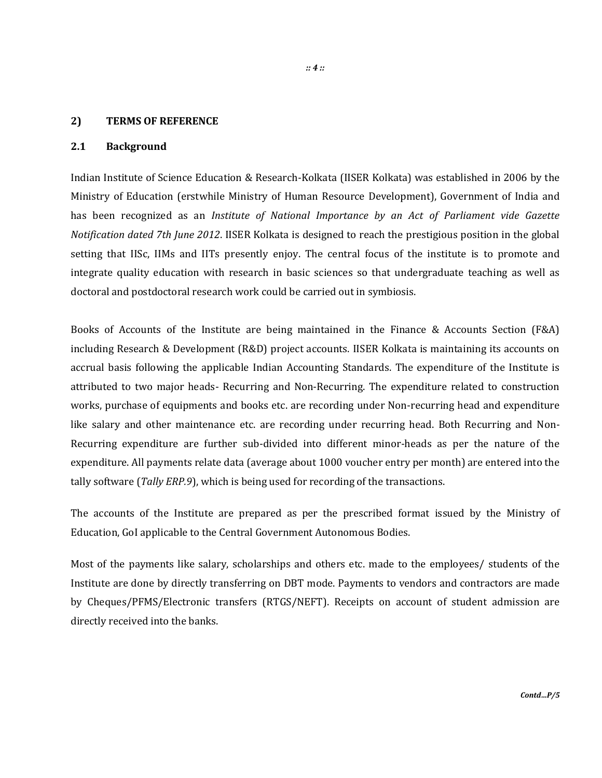#### **2) TERMS OF REFERENCE**

#### **2.1 Background**

Indian Institute of Science Education & Research-Kolkata (IISER Kolkata) was established in 2006 by the Ministry of Education (erstwhile Ministry of Human Resource Development), Government of India and has been recognized as an *Institute of National Importance by an Act of Parliament vide Gazette Notification dated 7th June 2012*. IISER Kolkata is designed to reach the prestigious position in the global setting that IISc, IIMs and IITs presently enjoy. The central focus of the institute is to promote and integrate quality education with research in basic sciences so that undergraduate teaching as well as doctoral and postdoctoral research work could be carried out in symbiosis.

Books of Accounts of the Institute are being maintained in the Finance & Accounts Section (F&A) including Research & Development (R&D) project accounts. IISER Kolkata is maintaining its accounts on accrual basis following the applicable Indian Accounting Standards. The expenditure of the Institute is attributed to two major heads- Recurring and Non-Recurring. The expenditure related to construction works, purchase of equipments and books etc. are recording under Non-recurring head and expenditure like salary and other maintenance etc. are recording under recurring head. Both Recurring and Non-Recurring expenditure are further sub-divided into different minor-heads as per the nature of the expenditure. All payments relate data (average about 1000 voucher entry per month) are entered into the tally software (*Tally ERP.9*), which is being used for recording of the transactions.

The accounts of the Institute are prepared as per the prescribed format issued by the Ministry of Education, GoI applicable to the Central Government Autonomous Bodies.

Most of the payments like salary, scholarships and others etc. made to the employees/ students of the Institute are done by directly transferring on DBT mode. Payments to vendors and contractors are made by Cheques/PFMS/Electronic transfers (RTGS/NEFT). Receipts on account of student admission are directly received into the banks.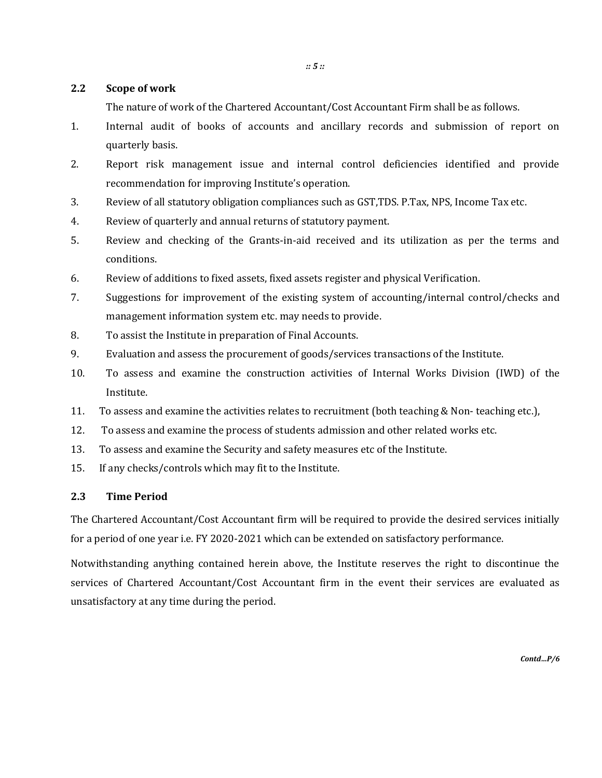#### **2.2 Scope of work**

The nature of work of the Chartered Accountant/Cost Accountant Firm shall be as follows.

- 1. Internal audit of books of accounts and ancillary records and submission of report on quarterly basis.
- 2. Report risk management issue and internal control deficiencies identified and provide recommendation for improving Institute's operation.
- 3. Review of all statutory obligation compliances such as GST,TDS. P.Tax, NPS, Income Tax etc.
- 4. Review of quarterly and annual returns of statutory payment.
- 5. Review and checking of the Grants-in-aid received and its utilization as per the terms and conditions.
- 6. Review of additions to fixed assets, fixed assets register and physical Verification.
- 7. Suggestions for improvement of the existing system of accounting/internal control/checks and management information system etc. may needs to provide.
- 8. To assist the Institute in preparation of Final Accounts.
- 9. Evaluation and assess the procurement of goods/services transactions of the Institute.
- 10. To assess and examine the construction activities of Internal Works Division (IWD) of the Institute.
- 11. To assess and examine the activities relates to recruitment (both teaching & Non- teaching etc.),
- 12. To assess and examine the process of students admission and other related works etc.
- 13. To assess and examine the Security and safety measures etc of the Institute.
- 15. If any checks/controls which may fit to the Institute.

#### **2.3 Time Period**

The Chartered Accountant/Cost Accountant firm will be required to provide the desired services initially for a period of one year i.e. FY 2020-2021 which can be extended on satisfactory performance.

Notwithstanding anything contained herein above, the Institute reserves the right to discontinue the services of Chartered Accountant/Cost Accountant firm in the event their services are evaluated as unsatisfactory at any time during the period.

*Contd…P/6*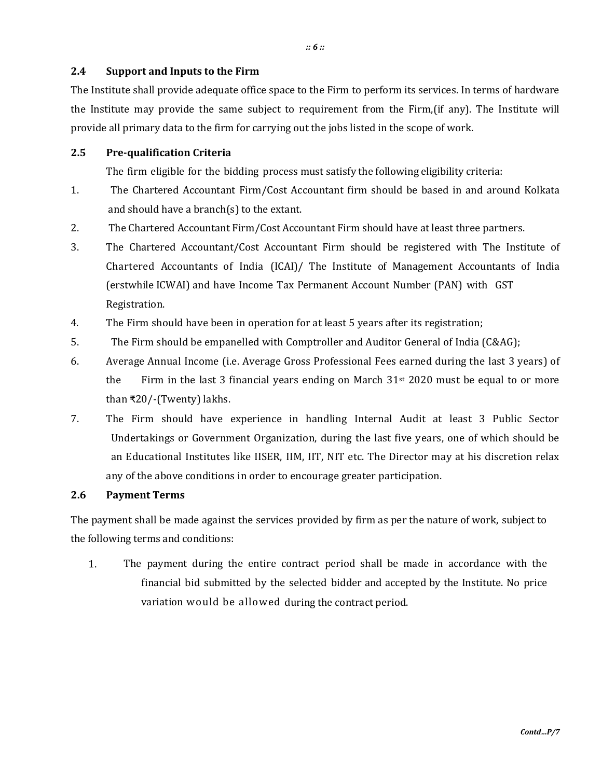#### **2.4 Support and Inputs to the Firm**

The Institute shall provide adequate office space to the Firm to perform its services. In terms of hardware the Institute may provide the same subject to requirement from the Firm,(if any). The Institute will provide all primary data to the firm for carrying out the jobs listed in the scope of work.

#### **2.5 Pre-qualification Criteria**

The firm eligible for the bidding process must satisfy the following eligibility criteria:

- 1. The Chartered Accountant Firm/Cost Accountant firm should be based in and around Kolkata and should have a branch(s) to the extant.
- 2. The Chartered Accountant Firm/Cost Accountant Firm should have at least three partners.
- 3. The Chartered Accountant/Cost Accountant Firm should be registered with The Institute of Chartered Accountants of India (ICAI)/ The Institute of Management Accountants of India (erstwhile ICWAI) and have Income Tax Permanent Account Number (PAN) with GST Registration.
- 4. The Firm should have been in operation for at least 5 years after its registration;
- 5. The Firm should be empanelled with Comptroller and Auditor General of India (C&AG);
- 6. Average Annual Income (i.e. Average Gross Professional Fees earned during the last 3 years) of the Firm in the last 3 financial years ending on March  $31<sup>st</sup>$  2020 must be equal to or more than ₹20/-(Twenty) lakhs.
- 7. The Firm should have experience in handling Internal Audit at least 3 Public Sector Undertakings or Government Organization, during the last five years, one of which should be an Educational Institutes like IISER, IIM, IIT, NIT etc. The Director may at his discretion relax any of the above conditions in order to encourage greater participation.

#### **2.6 Payment Terms**

The payment shall be made against the services provided by firm as per the nature of work, subject to the following terms and conditions:

1. The payment during the entire contract period shall be made in accordance with the financial bid submitted by the selected bidder and accepted by the Institute. No price variation would be allowed during the contract period.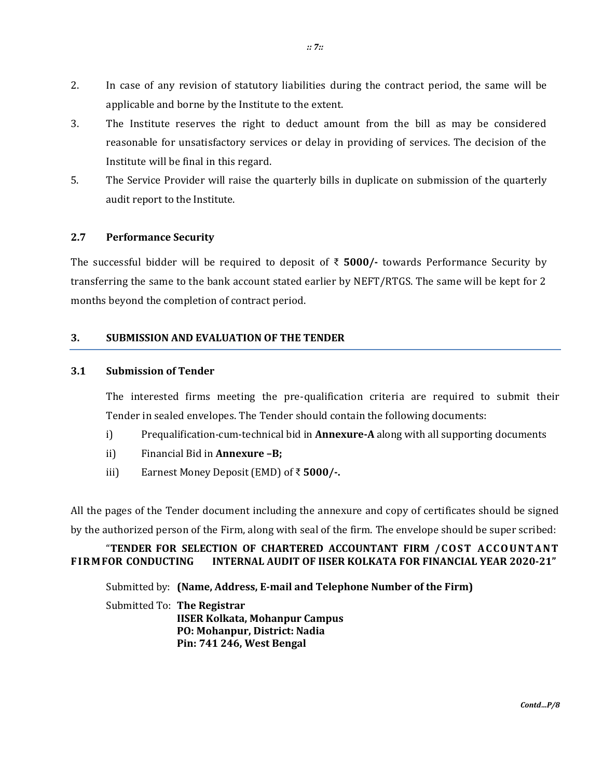- 2. In case of any revision of statutory liabilities during the contract period, the same will be applicable and borne by the Institute to the extent.
- 3. The Institute reserves the right to deduct amount from the bill as may be considered reasonable for unsatisfactory services or delay in providing of services. The decision of the Institute will be final in this regard.
- 5. The Service Provider will raise the quarterly bills in duplicate on submission of the quarterly audit report to the Institute.

#### **2.7 Performance Security**

The successful bidder will be required to deposit of ₹ **5000/-** towards Performance Security by transferring the same to the bank account stated earlier by NEFT/RTGS. The same will be kept for 2 months beyond the completion of contract period.

#### **3. SUBMISSION AND EVALUATION OF THE TENDER**

#### **3.1 Submission of Tender**

The interested firms meeting the pre-qualification criteria are required to submit their Tender in sealed envelopes. The Tender should contain the following documents:

- i) Prequalification-cum-technical bid in **Annexure-A** along with all supporting documents
- ii) Financial Bid in **Annexure –B;**
- iii) Earnest Money Deposit (EMD) of ₹ **5000/-.**

All the pages of the Tender document including the annexure and copy of certificates should be signed by the authorized person of the Firm, along with seal of the firm. The envelope should be super scribed:

#### "**TENDER FOR SELECTION OF CHARTERED ACCOUNTANT FIRM /C OST AC C OUNT ANT F IRMFOR CONDUCTING INTERNAL AUDIT OF IISER KOLKATA FOR FINANCIAL YEAR 2020-21"**

Submitted by: **(Name, Address, E-mail and Telephone Number of the Firm)**

Submitted To: **The Registrar IISER Kolkata, Mohanpur Campus PO: Mohanpur, District: Nadia Pin: 741 246, West Bengal**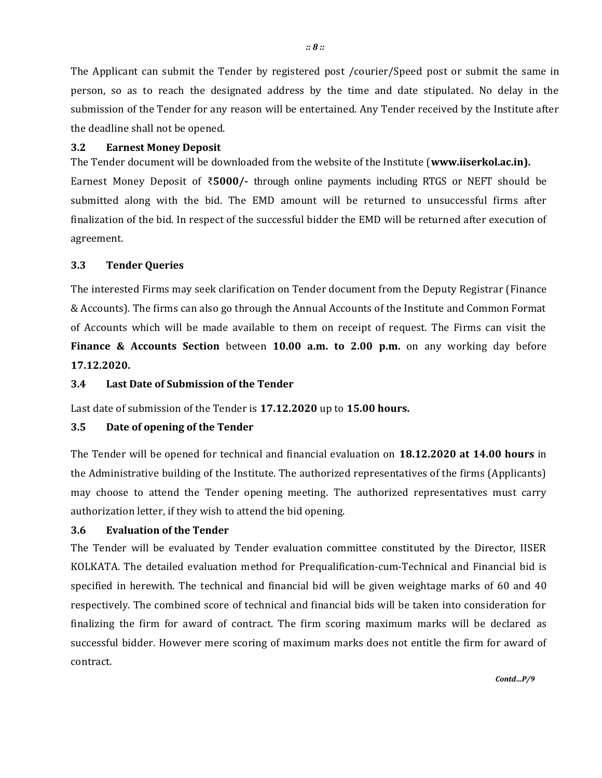The Applicant can submit the Tender by registered post /courier/Speed post or submit the same in person, so as to reach the designated address by the time and date stipulated. No delay in the submission of the Tender for any reason will be entertained. Any Tender received by the Institute after the deadline shall not be opened.

#### **3.2 Earnest Money Deposit**

The Tender document will be downloaded from the website of the Institute (**www.iiserkol.ac.in).**  Earnest Money Deposit of ₹**5000/-** through online payments including RTGS or NEFT should be submitted along with the bid. The EMD amount will be returned to unsuccessful firms after finalization of the bid. In respect of the successful bidder the EMD will be returned after execution of agreement.

#### **3.3 Tender Queries**

The interested Firms may seek clarification on Tender document from the Deputy Registrar (Finance & Accounts). The firms can also go through the Annual Accounts of the Institute and Common Format of Accounts which will be made available to them on receipt of request. The Firms can visit the **Finance & Accounts Section** between **10.00 a.m. to 2.00 p.m.** on any working day before **17.12.2020.**

#### **3.4 Last Date of Submission of the Tender**

Last date of submission of the Tender is **17.12.2020** up to **15.00 hours.**

#### **3.5 Date of opening of the Tender**

The Tender will be opened for technical and financial evaluation on **18.12.2020 at 14.00 hours** in the Administrative building of the Institute. The authorized representatives of the firms (Applicants) may choose to attend the Tender opening meeting. The authorized representatives must carry authorization letter, if they wish to attend the bid opening.

#### **3.6 Evaluation of the Tender**

The Tender will be evaluated by Tender evaluation committee constituted by the Director, IISER KOLKATA. The detailed evaluation method for Prequalification-cum-Technical and Financial bid is specified in herewith. The technical and financial bid will be given weightage marks of 60 and 40 respectively. The combined score of technical and financial bids will be taken into consideration for finalizing the firm for award of contract. The firm scoring maximum marks will be declared as successful bidder. However mere scoring of maximum marks does not entitle the firm for award of contract.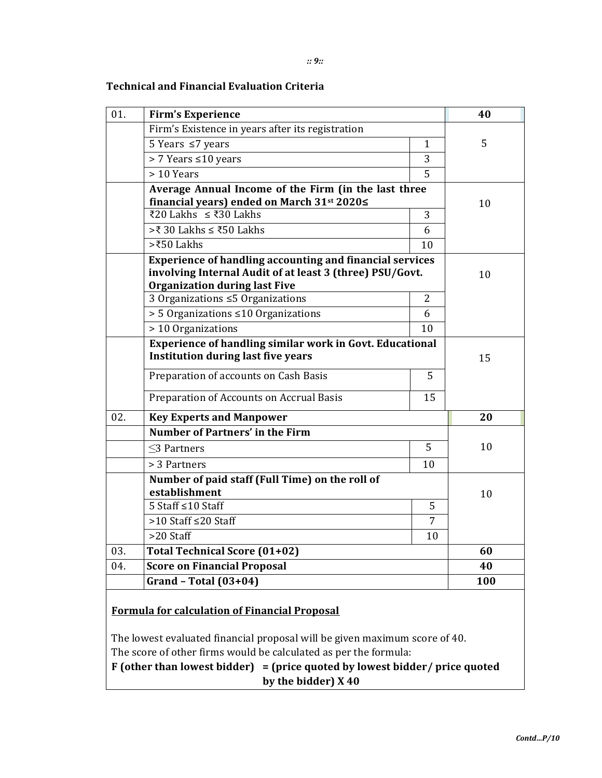### **Technical and Financial Evaluation Criteria**

| 01. | <b>Firm's Experience</b>                                                                                                                                            | 40             |     |
|-----|---------------------------------------------------------------------------------------------------------------------------------------------------------------------|----------------|-----|
|     | Firm's Existence in years after its registration                                                                                                                    |                |     |
|     | 5 Years $\leq$ 7 years                                                                                                                                              | 1              | 5   |
|     | > 7 Years ≤10 years                                                                                                                                                 | 3              |     |
|     | > 10 Years                                                                                                                                                          | 5              |     |
|     | Average Annual Income of the Firm (in the last three                                                                                                                |                |     |
|     | financial years) ended on March 31 <sup>st</sup> 2020≤                                                                                                              |                | 10  |
|     | ₹20 Lakhs $\leq$ ₹30 Lakhs                                                                                                                                          | 3              |     |
|     | >₹ 30 Lakhs ≤ ₹50 Lakhs                                                                                                                                             | 6              |     |
|     | >₹50 Lakhs                                                                                                                                                          | 10             |     |
|     | <b>Experience of handling accounting and financial services</b><br>involving Internal Audit of at least 3 (three) PSU/Govt.<br><b>Organization during last Five</b> |                | 10  |
|     | 3 Organizations ≤5 Organizations                                                                                                                                    | $\overline{2}$ |     |
|     | > 5 Organizations ≤10 Organizations                                                                                                                                 | 6              |     |
|     | > 10 Organizations                                                                                                                                                  | 10             |     |
|     | <b>Experience of handling similar work in Govt. Educational</b><br><b>Institution during last five years</b>                                                        |                | 15  |
|     | Preparation of accounts on Cash Basis                                                                                                                               | 5              |     |
|     | Preparation of Accounts on Accrual Basis                                                                                                                            | 15             |     |
| 02. | <b>Key Experts and Manpower</b>                                                                                                                                     | 20             |     |
|     | <b>Number of Partners' in the Firm</b>                                                                                                                              |                |     |
|     | $<$ 3 Partners                                                                                                                                                      | 5              | 10  |
|     | > 3 Partners                                                                                                                                                        | 10             |     |
|     | Number of paid staff (Full Time) on the roll of<br>establishment                                                                                                    |                | 10  |
|     | 5 Staff ≤10 Staff                                                                                                                                                   | 5              |     |
|     | >10 Staff ≤20 Staff                                                                                                                                                 | 7              |     |
|     | >20 Staff                                                                                                                                                           | 10             |     |
| 03. | Total Technical Score (01+02)                                                                                                                                       |                | 60  |
| 04. | <b>Score on Financial Proposal</b>                                                                                                                                  |                | 40  |
|     | Grand - Total $(03+04)$                                                                                                                                             |                | 100 |

## **Formula for calculation of Financial Proposal**

The lowest evaluated financial proposal will be given maximum score of 40. The score of other firms would be calculated as per the formula:

**F (other than lowest bidder) = (price quoted by lowest bidder/ price quoted by the bidder) X 40**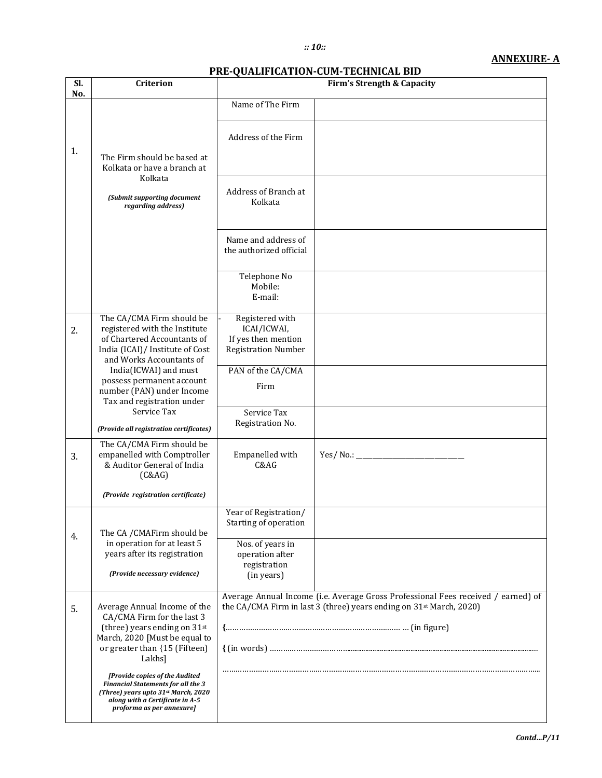#### *:: 10::*

#### **ANNEXURE- A**

#### **PRE-QUALIFICATION-CUM-TECHNICAL BID**

| Sl.<br>No. | Criterion                                                                                                                                                                          |                                                                                                                                                                      | <b>Firm's Strength &amp; Capacity</b> |  |  |
|------------|------------------------------------------------------------------------------------------------------------------------------------------------------------------------------------|----------------------------------------------------------------------------------------------------------------------------------------------------------------------|---------------------------------------|--|--|
|            |                                                                                                                                                                                    | Name of The Firm                                                                                                                                                     |                                       |  |  |
| 1.         | The Firm should be based at<br>Kolkata or have a branch at                                                                                                                         | Address of the Firm                                                                                                                                                  |                                       |  |  |
|            | Kolkata<br>(Submit supporting document<br>regarding address)                                                                                                                       | Address of Branch at<br>Kolkata                                                                                                                                      |                                       |  |  |
|            |                                                                                                                                                                                    | Name and address of<br>the authorized official                                                                                                                       |                                       |  |  |
|            |                                                                                                                                                                                    | Telephone No<br>Mobile:<br>E-mail:                                                                                                                                   |                                       |  |  |
| 2.         | The CA/CMA Firm should be<br>registered with the Institute<br>of Chartered Accountants of<br>India (ICAI)/ Institute of Cost<br>and Works Accountants of                           | Registered with<br>ICAI/ICWAI,<br>If yes then mention<br><b>Registration Number</b>                                                                                  |                                       |  |  |
|            | India(ICWAI) and must<br>possess permanent account<br>number (PAN) under Income<br>Tax and registration under                                                                      | PAN of the CA/CMA<br>Firm                                                                                                                                            |                                       |  |  |
|            | Service Tax<br>(Provide all registration certificates)                                                                                                                             | Service Tax<br>Registration No.                                                                                                                                      |                                       |  |  |
| 3.         | The CA/CMA Firm should be<br>empanelled with Comptroller<br>& Auditor General of India<br>(C&AG)                                                                                   | Empanelled with<br>C&AG                                                                                                                                              |                                       |  |  |
|            | (Provide registration certificate)                                                                                                                                                 |                                                                                                                                                                      |                                       |  |  |
| 4.         | The CA / CMAFirm should be                                                                                                                                                         | Year of Registration/<br>Starting of operation                                                                                                                       |                                       |  |  |
|            | in operation for at least 5<br>years after its registration<br>(Provide necessary evidence)                                                                                        | Nos. of years in<br>operation after<br>registration<br>(in years)                                                                                                    |                                       |  |  |
| 5.         | Average Annual Income of the<br>CA/CMA Firm for the last 3<br>(three) years ending on 31st                                                                                         | Average Annual Income (i.e. Average Gross Professional Fees received / earned) of<br>the CA/CMA Firm in last 3 (three) years ending on 31 <sup>st</sup> March, 2020) |                                       |  |  |
|            | March, 2020 [Must be equal to<br>or greater than {15 (Fifteen)<br>Lakhs]                                                                                                           |                                                                                                                                                                      |                                       |  |  |
|            | [Provide copies of the Audited<br><b>Financial Statements for all the 3</b><br>(Three) years upto 31st March, 2020<br>along with a Certificate in A-5<br>proforma as per annexure] |                                                                                                                                                                      |                                       |  |  |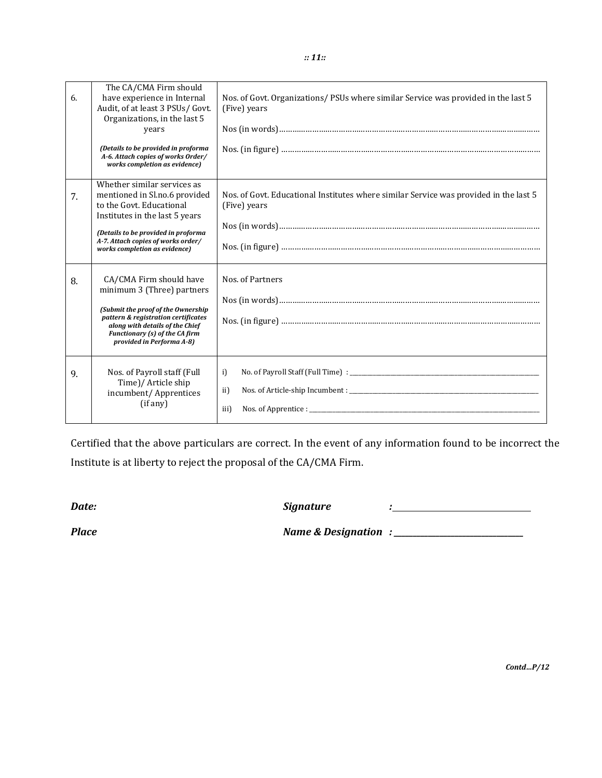| 6. | The CA/CMA Firm should<br>have experience in Internal<br>Audit, of at least 3 PSUs/ Govt.<br>Organizations, in the last 5<br>years<br>(Details to be provided in proforma<br>A-6. Attach copies of works Order/<br>works completion as evidence) | Nos. of Govt. Organizations/PSUs where similar Service was provided in the last 5<br>(Five) years     |
|----|--------------------------------------------------------------------------------------------------------------------------------------------------------------------------------------------------------------------------------------------------|-------------------------------------------------------------------------------------------------------|
| 7. | Whether similar services as<br>mentioned in Sl.no.6 provided<br>to the Govt. Educational<br>Institutes in the last 5 years<br>(Details to be provided in proforma<br>A-7. Attach copies of works order/<br>works completion as evidence)         | Nos. of Govt. Educational Institutes where similar Service was provided in the last 5<br>(Five) years |
| 8. | CA/CMA Firm should have<br>minimum 3 (Three) partners<br>(Submit the proof of the Ownership<br>pattern & registration certificates<br>along with details of the Chief<br>Functionary (s) of the CA firm<br>provided in Performa A-8)             | Nos. of Partners                                                                                      |
| 9. | Nos. of Payroll staff (Full<br>Time)/ Article ship<br>incumbent/Apprentices<br>(if any)                                                                                                                                                          | i)<br>ii)<br>$N$ os. of Apprentice : $\blacksquare$<br>iii)                                           |

Certified that the above particulars are correct. In the event of any information found to be incorrect the Institute is at liberty to reject the proposal of the CA/CMA Firm.

*Date: Signature :*

*Place Name & Designation : \_\_\_\_\_\_\_\_\_\_\_\_\_\_\_\_\_\_\_\_\_\_\_\_\_\_\_\_\_\_\_\_\_\_*

*Contd…P/12*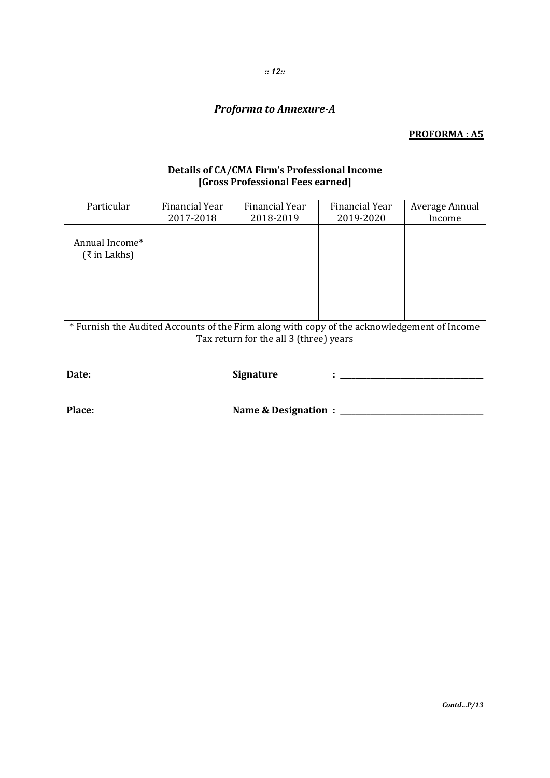# **Proforma to Annexure-A**

## **PROFORMA: A5**

## Details of CA/CMA Firm's Professional Income [Gross Professional Fees earned]

| Particular                                 | Financial Year | Financial Year | <b>Financial Year</b> | Average Annual |
|--------------------------------------------|----------------|----------------|-----------------------|----------------|
|                                            | 2017-2018      | 2018-2019      | 2019-2020             | Income         |
| Annual Income*<br>$(\xi \text{ in Lakhs})$ |                |                |                       |                |

\* Furnish the Audited Accounts of the Firm along with copy of the acknowledgement of Income Tax return for the all 3 (three) years

| Date:  | <b>Signature</b>        |  |
|--------|-------------------------|--|
| Place: | Name & Designation : __ |  |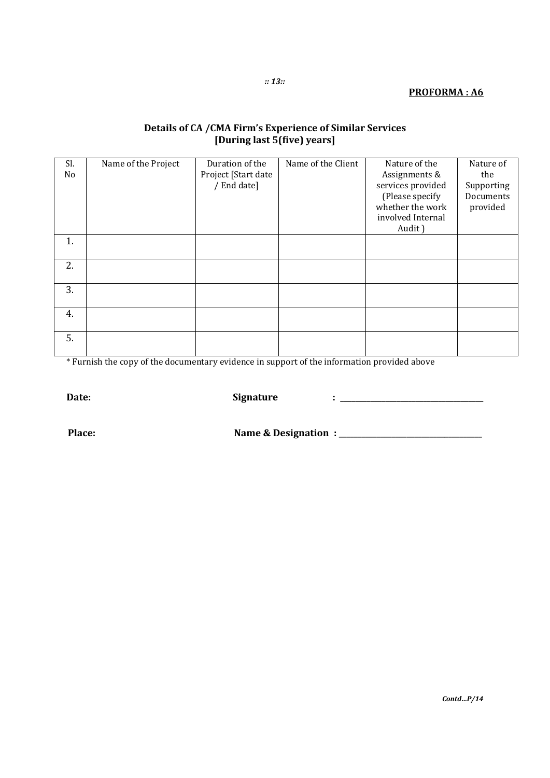# **Details of CA /CMA Firm's Experience of Similar Services [During last 5(five) years]**

| Sl.<br>No | Name of the Project | Duration of the<br>Project [Start date<br>/ End date] | Name of the Client | Nature of the<br>Assignments &<br>services provided<br>(Please specify<br>whether the work<br>involved Internal<br>Audit) | Nature of<br>the<br>Supporting<br>Documents<br>provided |
|-----------|---------------------|-------------------------------------------------------|--------------------|---------------------------------------------------------------------------------------------------------------------------|---------------------------------------------------------|
| 1.        |                     |                                                       |                    |                                                                                                                           |                                                         |
| 2.        |                     |                                                       |                    |                                                                                                                           |                                                         |
| 3.        |                     |                                                       |                    |                                                                                                                           |                                                         |
| 4.        |                     |                                                       |                    |                                                                                                                           |                                                         |
| 5.        |                     |                                                       |                    |                                                                                                                           |                                                         |

\* Furnish the copy of the documentary evidence in support of the information provided above

**Date: Signature : \_\_\_\_\_\_\_\_\_\_\_\_\_\_\_\_\_\_\_\_\_\_\_\_\_\_\_\_\_\_\_\_\_\_\_\_\_\_**

**Place: Name & Designation : \_\_\_\_\_\_\_\_\_\_\_\_\_\_\_\_\_\_\_\_\_\_\_\_\_\_\_\_\_\_\_\_\_\_\_\_\_\_**

*Contd…P/14*

*:: 13::*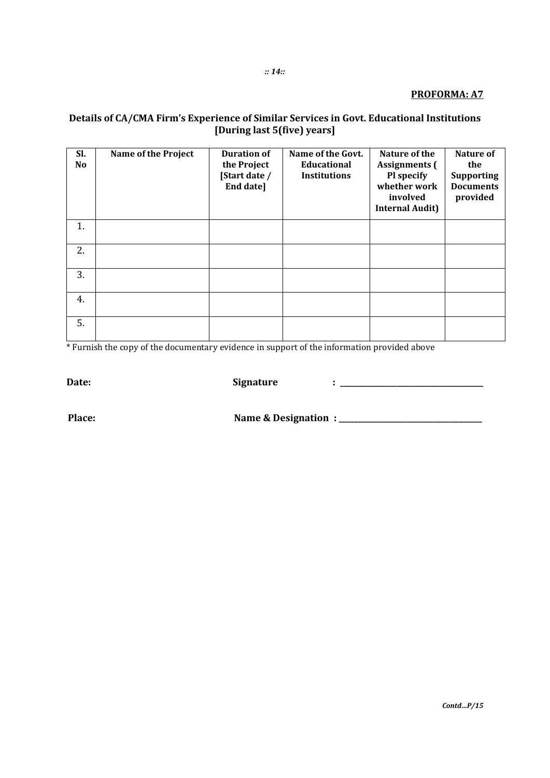#### **PROFORMA: A7**

# Details of CA/CMA Firm's Experience of Similar Services in Govt. Educational Institutions<br>[During last 5(five) years]

| SI.<br>N <sub>0</sub> | <b>Name of the Project</b> | <b>Duration of</b><br>the Project<br>[Start date /<br>End date] | Name of the Govt.<br>Educational<br><b>Institutions</b> | Nature of the<br><b>Assignments</b> (<br>Pl specify<br>whether work<br>involved<br><b>Internal Audit)</b> | Nature of<br>the<br><b>Supporting</b><br><b>Documents</b><br>provided |
|-----------------------|----------------------------|-----------------------------------------------------------------|---------------------------------------------------------|-----------------------------------------------------------------------------------------------------------|-----------------------------------------------------------------------|
| 1.                    |                            |                                                                 |                                                         |                                                                                                           |                                                                       |
| 2.                    |                            |                                                                 |                                                         |                                                                                                           |                                                                       |
| 3.                    |                            |                                                                 |                                                         |                                                                                                           |                                                                       |
| 4.                    |                            |                                                                 |                                                         |                                                                                                           |                                                                       |
| 5.                    |                            |                                                                 |                                                         |                                                                                                           |                                                                       |

\*Furnish the copy of the documentary evidence in support of the information provided above

Date:

**Signature** 

Place:

 $\pm$  <u>\_\_\_\_\_\_\_\_\_\_\_\_\_\_\_\_\_\_\_\_\_\_\_\_\_\_\_\_\_</u>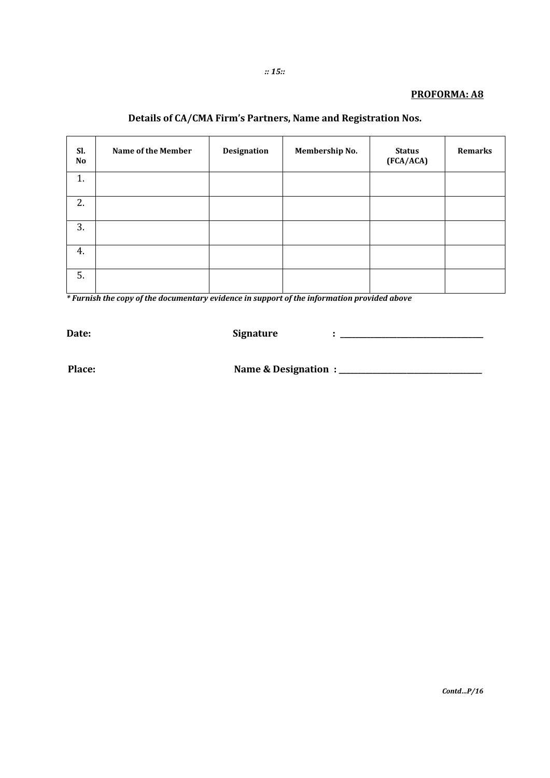#### **PROFORMA: A8**

# Details of CA/CMA Firm's Partners, Name and Registration Nos.

| Sl.<br>No | Name of the Member | Designation | Membership No. | <b>Status</b><br>(FCA/ACA) | Remarks |
|-----------|--------------------|-------------|----------------|----------------------------|---------|
| 1.        |                    |             |                |                            |         |
| 2.        |                    |             |                |                            |         |
| 3.        |                    |             |                |                            |         |
| 4.        |                    |             |                |                            |         |
| 5.        |                    |             |                |                            |         |

\*Furnish the copy of the documentary evidence in support of the information provided above

Date:

**Signature** 

Place:

 $\mathit{Contd...P}/16$